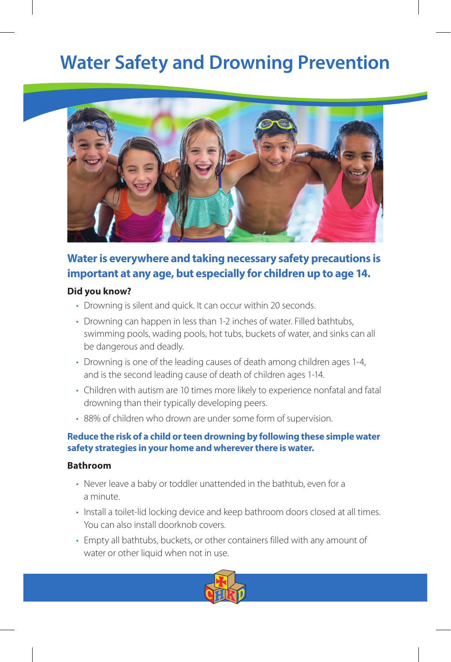# **Water Safety and Drowning Prevention**



# **Water is everywhere and taking necessary safety precautions is important at any age, but especially for children up to age 14.**

## **Did you know?**

- Drowning is silent and quick. It can occur within 20 seconds.
- Drowning can happen in less than 1-2 inches of water. Filled bathtubs, swimming pools, wading pools, hot tubs, buckets of water, and sinks can all be dangerous and deadly.
- Drowning is one of the leading causes of death among children ages 1-4, and is the second leading cause of death of children ages 1-14.
- Children with autism are 10 times more likely to experience nonfatal and fatal drowning than their typically developing peers.
- 88% of children who drown are under some form of supervision.

# **Reduce the risk of a child or teen drowning by following these simple water safety strategies in your home and wherever there is water.**

## **Bathroom**

- Never leave a baby or toddler unattended in the bathtub, even for a a minute.
- Install a toilet-lid locking device and keep bathroom doors closed at all times. You can also install doorknob covers.
- Empty all bathtubs, buckets, or other containers filled with any amount of water or other liquid when not in use.